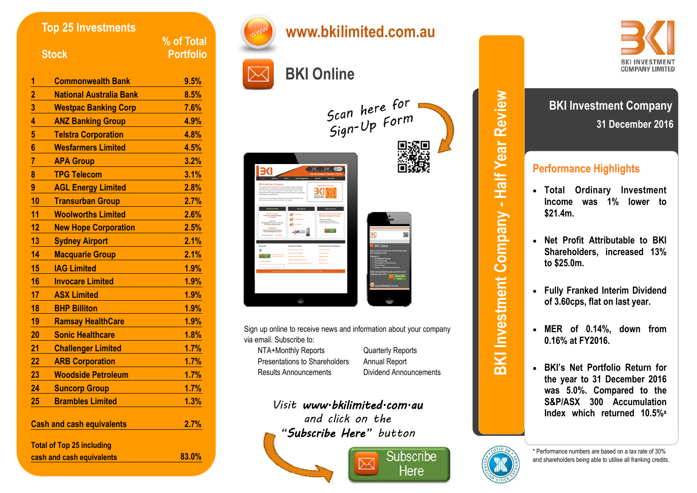| <b>Top 25 Investments</b><br><b>Stock</b> |                                  | % of Total<br><b>Portfolio</b> |
|-------------------------------------------|----------------------------------|--------------------------------|
|                                           |                                  |                                |
| 1                                         | <b>Commonwealth Bank</b>         | 9.5%                           |
| $\overline{2}$                            | <b>National Australia Bank</b>   | 8.5%                           |
|                                           | <b>Westpac Banking Corp</b>      | 7.6%                           |
| $\frac{3}{4}$                             | <b>ANZ Banking Group</b>         | 4.9%                           |
| $\overline{\mathbf{5}}$                   | <b>Telstra Corporation</b>       | 4.8%                           |
| $6\phantom{a}$                            | <b>Wesfarmers Limited</b>        | 4.5%                           |
| $\overline{7}$                            | <b>APA Group</b>                 | 3.2%                           |
| 8                                         | <b>TPG Telecom</b>               | 3.1%                           |
| 9                                         | <b>AGL Energy Limited</b>        | 2.8%                           |
| 10                                        | <b>Transurban Group</b>          | 2.7%                           |
| 11                                        | <b>Woolworths Limited</b>        | 2.6%                           |
| 12                                        | <b>New Hope Corporation</b>      | 2.5%                           |
| 13                                        | <b>Sydney Airport</b>            | 2.1%                           |
| 14                                        | <b>Macquarie Group</b>           | 2.1%                           |
| 15                                        | <b>IAG Limited</b>               | 1.9%                           |
| 16                                        | <b>Invocare Limited</b>          | 1.9%                           |
| 17                                        | <b>ASX Limited</b>               | 1.9%                           |
| 18                                        | <b>BHP Billiton</b>              | 1.9%                           |
| 19                                        | <b>Ramsay HealthCare</b>         | 1.9%                           |
| 20                                        | <b>Sonic Healthcare</b>          | 1.8%                           |
| 21                                        | <b>Challenger Limited</b>        | 1.7%                           |
| 22                                        | <b>ARB Corporation</b>           | 1.7%                           |
| 23                                        | <b>Woodside Petroleum</b>        | 1.7%                           |
| 24                                        | Suncorp Group                    | 1.7%                           |
| 25                                        | <b>Brambles Limited</b>          | 1.3%                           |
| <b>Cash and cash equivalents</b>          |                                  | 2.7%                           |
|                                           | <b>Total of Top 25 including</b> |                                |
| cash and cash equivalents                 |                                  | 83.0%                          |



Sign up online to receive news and information about your company via email. Subscribe to:

NTA+Monthly Reports Quarterly Reports Presentations to Shareholders Annual Report Results Announcements Dividend Announcements

*Visit www.bkilimited.com.au and click on the "Subscribe Here" button* 



**BKI Investment Company - Half Year Review BKI Investment Company - Half Year Review**



# **Performance Highlights**

- **Total Ordinary Investment Income was 1% lower to \$21.4m.**
- **Net Profit Attributable to BKI Shareholders, increased 13% to \$25.0m.**
- **Fully Franked Interim Dividend of 3.60cps, flat on last year.**
- **MER of 0.14%, down from 0.16% at FY2016.**
- **BKI's Net Portfolio Return for the year to 31 December 2016 was 5.0%. Compared to the S&P/ASX 300 Accumulation Index which returned 10.5% x**



\* Performance numbers are based on a tax rate of 30% and shareholders being able to utilise all franking credits.